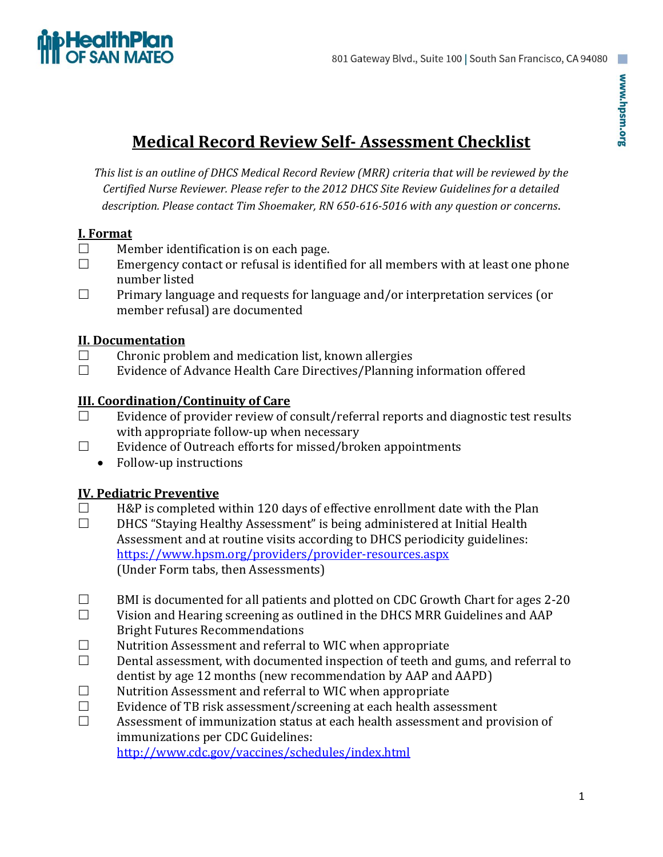

# **Medical Record Review Self- Assessment Checklist**

*This list is an outline of DHCS Medical Record Review (MRR) criteria that will be reviewed by the Certified Nurse Reviewer. Please refer to the 2012 DHCS Site Review Guidelines for a detailed description. Please contact Tim Shoemaker, RN 650-616-5016 with any question or concerns*.

#### **I. Format**

- $\Box$  Member identification is on each page.
- $\Box$  Emergency contact or refusal is identified for all members with at least one phone number listed
- $\Box$  Primary language and requests for language and/or interpretation services (or member refusal) are documented

#### **II. Documentation**

- $\Box$  Chronic problem and medication list, known allergies
- $\Box$  Evidence of Advance Health Care Directives/Planning information offered

#### **III. Coordination/Continuity of Care**

- $\Box$  Evidence of provider review of consult/referral reports and diagnostic test results with appropriate follow-up when necessary
- $\square$  Evidence of Outreach efforts for missed/broken appointments
	- Follow-up instructions

#### **IV. Pediatric Preventive**

- $\Box$  H&P is completed within 120 days of effective enrollment date with the Plan
- $\Box$  DHCS "Staying Healthy Assessment" is being administered at Initial Health Assessment and at routine visits according to DHCS periodicity guidelines: <https://www.hpsm.org/providers/provider-resources.aspx> (Under Form tabs, then Assessments)
- $\Box$  BMI is documented for all patients and plotted on CDC Growth Chart for ages 2-20
- $\Box$  Vision and Hearing screening as outlined in the DHCS MRR Guidelines and AAP Bright Futures Recommendations
- $\Box$  Nutrition Assessment and referral to WIC when appropriate
- $\square$  Dental assessment, with documented inspection of teeth and gums, and referral to dentist by age 12 months (new recommendation by AAP and AAPD)
- $\Box$  Nutrition Assessment and referral to WIC when appropriate
- $\Box$  Evidence of TB risk assessment/screening at each health assessment
- $\Box$  Assessment of immunization status at each health assessment and provision of immunizations per CDC Guidelines:

<http://www.cdc.gov/vaccines/schedules/index.html>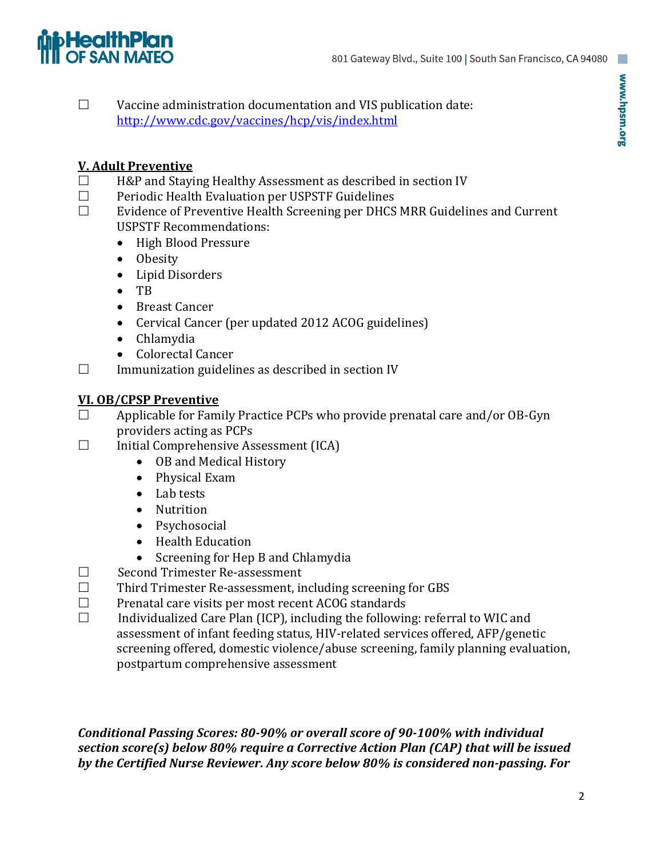# **HealthPlan**

 $\Box$  Vaccine administration documentation and VIS publication date: <http://www.cdc.gov/vaccines/hcp/vis/index.html>

### **V. Adult Preventive**

- $\Box$  H&P and Staying Healthy Assessment as described in section IV
- $\Box$  Periodic Health Evaluation per USPSTF Guidelines
- $\Box$  Evidence of Preventive Health Screening per DHCS MRR Guidelines and Current USPSTF Recommendations:
	- High Blood Pressure
	- Obesity
	- Lipid Disorders
	- TB
	- Breast Cancer
	- Cervical Cancer (per updated 2012 ACOG guidelines)
	- Chlamydia
	- Colorectal Cancer
- $\Box$  Immunization guidelines as described in section IV

## **VI. OB/CPSP Preventive**

- $\Box$  Applicable for Family Practice PCPs who provide prenatal care and/or OB-Gyn providers acting as PCPs
- $\Box$  Initial Comprehensive Assessment (ICA)
	- OB and Medical History
	- Physical Exam
	- Lab tests
	- Nutrition
	- Psychosocial
	- Health Education
	- Screening for Hep B and Chlamydia
- $\square$  Second Trimester Re-assessment
- $\Box$  Third Trimester Re-assessment, including screening for GBS
- $\Box$  Prenatal care visits per most recent ACOG standards
- $\Box$  Individualized Care Plan (ICP), including the following: referral to WIC and assessment of infant feeding status, HIV-related services offered, AFP/genetic screening offered, domestic violence/abuse screening, family planning evaluation, postpartum comprehensive assessment

*Conditional Passing Scores: 80-90% or overall score of 90-100% with individual section score(s) below 80% require a Corrective Action Plan (CAP) that will be issued by the Certified Nurse Reviewer. Any score below 80% is considered non-passing. For*